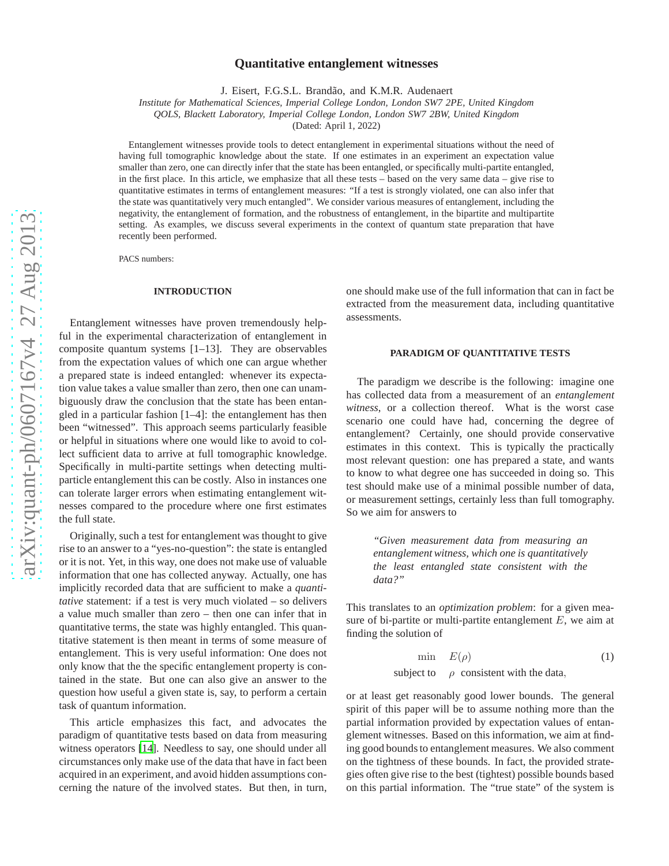# **Quantitative entanglement witnesses**

J. Eisert, F.G.S.L. Brandão, and K.M.R. Audenaert

*Institute for Mathematical Sciences, Imperial College London, London SW7 2PE, United Kingdom*

*QOLS, Blackett Laboratory, Imperial College London, London SW7 2BW, United Kingdom*

(Dated: April 1, 2022)

Entanglement witnesses provide tools to detect entanglement in experimental situations without the need of having full tomographic knowledge about the state. If one estimates in an experiment an expectation value smaller than zero, one can directly infer that the state has been entangled, or specifically multi-partite entangled, in the first place. In this article, we emphasize that all these tests – based on the very same data – give rise to quantitative estimates in terms of entanglement measures: "If a test is strongly violated, one can also infer that the state was quantitatively very much entangled". We consider various measures of entanglement, including the negativity, the entanglement of formation, and the robustness of entanglement, in the bipartite and multipartite setting. As examples, we discuss several experiments in the context of quantum state preparation that have recently been performed.

PACS numbers:

### **INTRODUCTION**

Entanglement witnesses have proven tremendously helpful in the experimental characterization of entanglement in composite quantum systems [1–13]. They are observables from the expectation values of which one can argue whether a prepared state is indeed entangled: whenever its expectation value takes a value smaller than zero, then one can unambiguously draw the conclusion that the state has been entangled in a particular fashion [1–4]: the entanglement has then been "witnessed". This approach seems particularly feasible or helpful in situations where one would like to avoid to collect sufficient data to arrive at full tomographic knowledge. Specifically in multi-partite settings when detecting multiparticle entanglement this can be costly. Also in instances one can tolerate larger errors when estimating entanglement witnesses compared to the procedure where one first estimates the full state.

Originally, such a test for entanglement was thought to give rise to an answer to a "yes-no-question": the state is entangled or it is not. Yet, in this way, one does not make use of valuable information that one has collected anyway. Actually, one ha s implicitly recorded data that are sufficient to make a *quantitative* statement: if a test is very much violated – so delivers a value much smaller than zero – then one can infer that in quantitative terms, the state was highly entangled. This quantitative statement is then meant in terms of some measure of entanglement. This is very useful information: One does not only know that the the specific entanglement property is contained in the state. But one can also give an answer to the question how useful a given state is, say, to perform a certai n task of quantum information.

This article emphasizes this fact, and advocates the paradigm of quantitative tests based on data from measuring witness operators [\[14\]](#page-8-0). Needless to say, one should under al l circumstances only make use of the data that have in fact been acquired in an experiment, and avoid hidden assumptions con cerning the nature of the involved states. But then, in turn,

one should make use of the full information that can in fact be extracted from the measurement data, including quantitative assessments.

## **PARADIGM OF QUANTITATIVE TESTS**

The paradigm we describe is the following: imagine one has collected data from a measurement of an *entanglement witness*, or a collection thereof. What is the worst case scenario one could have had, concerning the degree of entanglement? Certainly, one should provide conservative estimates in this context. This is typically the practically most relevant question: one has prepared a state, and wants to know to what degree one has succeeded in doing so. This test should make use of a minimal possible number of data, or measurement settings, certainly less than full tomography. So we aim for answers to

> *"Given measurement data from measuring an entanglement witness, which one is quantitatively the least entangled state consistent with the data?"*

This translates to an *optimization problem*: for a given measure of bi-partite or multi-partite entanglement  $E$ , we aim at finding the solution of

$$
\begin{array}{ll}\n\text{min} & E(\rho) \\
\text{subject to} & \rho \text{ consistent with the data,}\n\end{array} \tag{1}
$$

or at least get reasonably good lower bounds. The general spirit of this paper will be to assume nothing more than the partial information provided by expectation values of entanglement witnesses. Based on this information, we aim at finding good bounds to entanglement measures. We also comment on the tightness of these bounds. In fact, the provided strategies often give rise to the best (tightest) possible bounds based on this partial information. The "true state" of the system i s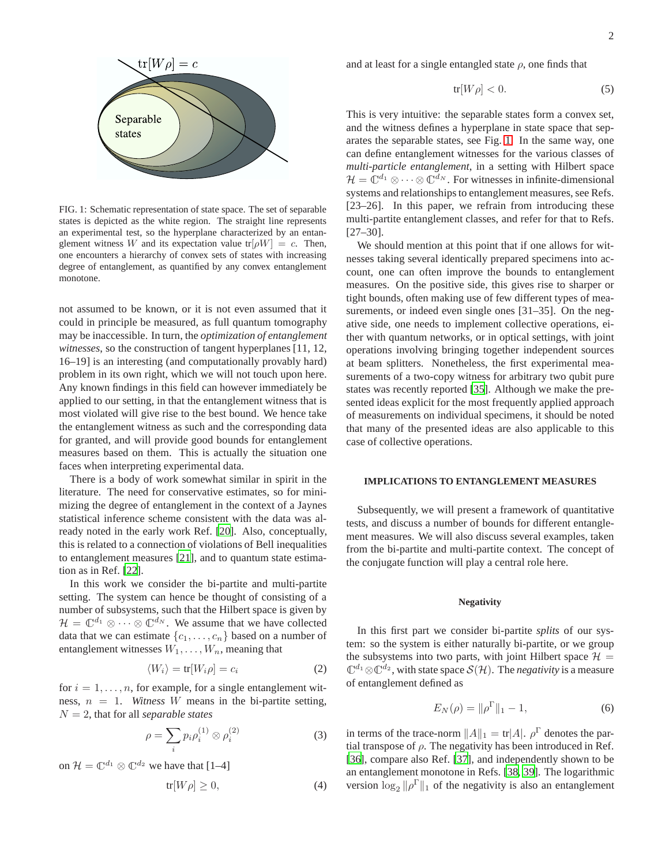

<span id="page-1-0"></span>FIG. 1: Schematic representation of state space. The set of separable states is depicted as the white region. The straight line represents an experimental test, so the hyperplane characterized by an entanglement witness W and its expectation value  $tr[\rho W] = c$ . Then, one encounters a hierarchy of convex sets of states with increasing degree of entanglement, as quantified by any convex entanglement monotone.

not assumed to be known, or it is not even assumed that it could in principle be measured, as full quantum tomography may be inaccessible. In turn, the *optimization of entanglement witnesses*, so the construction of tangent hyperplanes [11, 12, 16–19] is an interesting (and computationally provably hard) problem in its own right, which we will not touch upon here. Any known findings in this field can however immediately be applied to our setting, in that the entanglement witness that is most violated will give rise to the best bound. We hence take the entanglement witness as such and the corresponding data for granted, and will provide good bounds for entanglement measures based on them. This is actually the situation one faces when interpreting experimental data.

There is a body of work somewhat similar in spirit in the literature. The need for conservative estimates, so for minimizing the degree of entanglement in the context of a Jaynes statistical inference scheme consistent with the data was already noted in the early work Ref. [\[20\]](#page-8-1). Also, conceptually, this is related to a connection of violations of Bell inequalities to entanglement measures [\[21](#page-8-2)], and to quantum state estimation as in Ref. [\[22\]](#page-8-3).

In this work we consider the bi-partite and multi-partite setting. The system can hence be thought of consisting of a number of subsystems, such that the Hilbert space is given by  $\mathcal{H} = \mathbb{C}^{d_1} \otimes \cdots \otimes \mathbb{C}^{d_N}$ . We assume that we have collected data that we can estimate  $\{c_1, \ldots, c_n\}$  based on a number of entanglement witnesses  $W_1, \ldots, W_n$ , meaning that

$$
\langle W_i \rangle = \text{tr}[W_i \rho] = c_i \tag{2}
$$

for  $i = 1, \ldots, n$ , for example, for a single entanglement witness,  $n = 1$ . *Witness W* means in the bi-partite setting, N = 2, that for all *separable states*

$$
\rho = \sum_{i} p_i \rho_i^{(1)} \otimes \rho_i^{(2)} \tag{3}
$$

on  $\mathcal{H} = \mathbb{C}^{d_1} \otimes \mathbb{C}^{d_2}$  we have that [1–4]

$$
\text{tr}[W\rho] \ge 0,\tag{4}
$$

and at least for a single entangled state  $\rho$ , one finds that

$$
\text{tr}[W\rho] < 0. \tag{5}
$$

This is very intuitive: the separable states form a convex set, and the witness defines a hyperplane in state space that separates the separable states, see Fig. [1.](#page-1-0) In the same way, one can define entanglement witnesses for the various classes of *multi-particle entanglement*, in a setting with Hilbert space  $\mathcal{H} = \mathbb{C}^{d_1} \otimes \cdots \otimes \mathbb{C}^{d_N}$ . For witnesses in infinite-dimensional systems and relationships to entanglement measures, see Refs. [23–26]. In this paper, we refrain from introducing these multi-partite entanglement classes, and refer for that to Refs. [27–30].

We should mention at this point that if one allows for witnesses taking several identically prepared specimens into account, one can often improve the bounds to entanglement measures. On the positive side, this gives rise to sharper or tight bounds, often making use of few different types of measurements, or indeed even single ones [31–35]. On the negative side, one needs to implement collective operations, either with quantum networks, or in optical settings, with joint operations involving bringing together independent sources at beam splitters. Nonetheless, the first experimental measurements of a two-copy witness for arbitrary two qubit pure states was recently reported [\[35\]](#page-9-0). Although we make the presented ideas explicit for the most frequently applied approach of measurements on individual specimens, it should be noted that many of the presented ideas are also applicable to this case of collective operations.

## **IMPLICATIONS TO ENTANGLEMENT MEASURES**

Subsequently, we will present a framework of quantitative tests, and discuss a number of bounds for different entanglement measures. We will also discuss several examples, taken from the bi-partite and multi-partite context. The concept of the conjugate function will play a central role here.

### **Negativity**

In this first part we consider bi-partite *splits* of our system: so the system is either naturally bi-partite, or we group the subsystems into two parts, with joint Hilbert space  $\mathcal{H} =$  $\mathbb{C}^{d_1} \otimes \mathbb{C}^{d_2}$ , with state space  $\mathcal{S}(\mathcal{H})$ . The *negativity* is a measure of entanglement defined as

$$
E_N(\rho) = \|\rho^{\Gamma}\|_1 - 1,\tag{6}
$$

in terms of the trace-norm  $||A||_1 = \text{tr}|A|$ .  $\rho^{\Gamma}$  denotes the partial transpose of  $\rho$ . The negativity has been introduced in Ref. [\[36](#page-9-1)], compare also Ref. [\[37](#page-9-2)], and independently shown to be an entanglement monotone in Refs. [\[38](#page-9-3), [39](#page-9-4)]. The logarithmic version  $\log_2 || \rho^{\Gamma} ||_1$  of the negativity is also an entanglement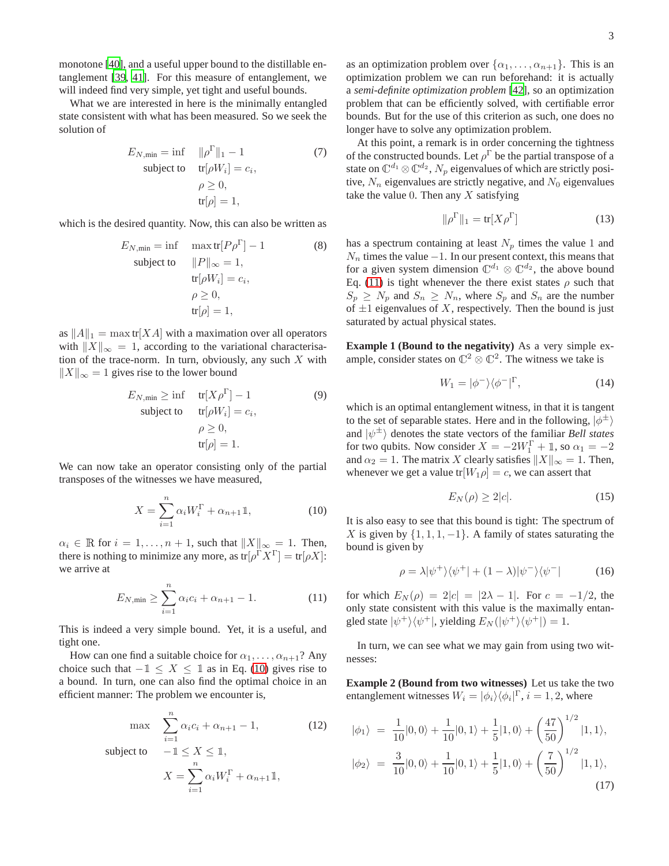monotone [\[40\]](#page-9-5), and a useful upper bound to the distillable entanglement [\[39](#page-9-4), [41](#page-9-6)]. For this measure of entanglement, we will indeed find very simple, yet tight and useful bounds.

What we are interested in here is the minimally entangled state consistent with what has been measured. So we seek the solution of

$$
E_{N,\min} = \inf \quad \|\rho^{\Gamma}\|_1 - 1 \tag{7}
$$
\n
$$
\text{subject to} \quad \text{tr}[\rho W_i] = c_i,
$$
\n
$$
\rho \ge 0,
$$
\n
$$
\text{tr}[\rho] = 1,
$$

which is the desired quantity. Now, this can also be written as

$$
E_{N,\min} = \inf \quad \max \text{tr}[P\rho^{\Gamma}] - 1 \tag{8}
$$
\n
$$
\text{subject to} \quad ||P||_{\infty} = 1,
$$
\n
$$
\text{tr}[\rho W_i] = c_i,
$$
\n
$$
\rho \ge 0,
$$
\n
$$
\text{tr}[\rho] = 1,
$$

as  $||A||_1 = \max$  tr $[XA]$  with a maximation over all operators with  $||X||_{\infty} = 1$ , according to the variational characterisation of the trace-norm. In turn, obviously, any such  $X$  with  $||X||_{\infty} = 1$  gives rise to the lower bound

$$
E_{N,\min} \ge \inf \quad \text{tr}[X \rho^{\Gamma}] - 1 \tag{9}
$$
\n
$$
\text{subject to} \quad \text{tr}[\rho W_i] = c_i,
$$
\n
$$
\rho \ge 0,
$$
\n
$$
\text{tr}[\rho] = 1.
$$

We can now take an operator consisting only of the partial transposes of the witnesses we have measured,

<span id="page-2-0"></span>
$$
X = \sum_{i=1}^{n} \alpha_i W_i^{\Gamma} + \alpha_{n+1} \mathbb{1},\tag{10}
$$

 $\alpha_i \in \mathbb{R}$  for  $i = 1, \ldots, n + 1$ , such that  $||X||_{\infty} = 1$ . Then, there is nothing to minimize any more, as  $tr[\rho^{\Gamma} X^{\Gamma}] = tr[\rho X]$ : we arrive at

<span id="page-2-1"></span>
$$
E_{N,\min} \ge \sum_{i=1}^{n} \alpha_i c_i + \alpha_{n+1} - 1.
$$
 (11)

This is indeed a very simple bound. Yet, it is a useful, and tight one.

How can one find a suitable choice for  $\alpha_1, \ldots, \alpha_{n+1}$ ? Any choice such that  $-1 \leq X \leq 1$  as in Eq. [\(10\)](#page-2-0) gives rise to a bound. In turn, one can also find the optimal choice in an efficient manner: The problem we encounter is,

$$
\max \quad \sum_{i=1}^{n} \alpha_i c_i + \alpha_{n+1} - 1,\tag{12}
$$
\n
$$
\text{subject to} \quad -1 \le X \le 1,
$$
\n
$$
X = \sum_{i=1}^{n} \alpha_i W_i^{\Gamma} + \alpha_{n+1} 1,
$$

as an optimization problem over  $\{\alpha_1, \dots, \alpha_{n+1}\}.$  This is an optimization problem we can run beforehand: it is actually a *semi-definite optimization problem* [\[42](#page-9-7)], so an optimization problem that can be efficiently solved, with certifiable error bounds. But for the use of this criterion as such, one does no longer have to solve any optimization problem.

At this point, a remark is in order concerning the tightness of the constructed bounds. Let  $\rho^{\Gamma}$  be the partial transpose of a state on  $\mathbb{C}^{d_1} \otimes \mathbb{C}^{d_2}$ ,  $N_p$  eigenvalues of which are strictly positive,  $N_n$  eigenvalues are strictly negative, and  $N_0$  eigenvalues take the value 0. Then any  $X$  satisfying

$$
\|\rho^{\Gamma}\|_1 = \text{tr}[X\rho^{\Gamma}]
$$
 (13)

has a spectrum containing at least  $N_p$  times the value 1 and  $N_n$  times the value  $-1$ . In our present context, this means that for a given system dimension  $\mathbb{C}^{d_1} \otimes \mathbb{C}^{d_2}$ , the above bound Eq. [\(11\)](#page-2-1) is tight whenever the there exist states  $\rho$  such that  $S_p \geq N_p$  and  $S_n \geq N_n$ , where  $S_p$  and  $S_n$  are the number of  $\pm 1$  eigenvalues of X, respectively. Then the bound is just saturated by actual physical states.

**Example 1 (Bound to the negativity)** As a very simple example, consider states on  $\mathbb{C}^2 \otimes \mathbb{C}^2$ . The witness we take is

<span id="page-2-3"></span>
$$
W_1 = |\phi^-{\rangle} \langle \phi^-|^{\Gamma}, \qquad (14)
$$

which is an optimal entanglement witness, in that it is tangent to the set of separable states. Here and in the following,  $|\phi^{\pm}\rangle$ and  $|\psi^{\pm}\rangle$  denotes the state vectors of the familiar *Bell states* for two qubits. Now consider  $X = -2W_1^{\Gamma} + \mathbb{1}$ , so  $\alpha_1 = -2$ and  $\alpha_2 = 1$ . The matrix X clearly satisfies  $||X||_{\infty} = 1$ . Then, whenever we get a value tr $[W_1 \rho] = c$ , we can assert that

$$
E_N(\rho) \ge 2|c|. \tag{15}
$$

It is also easy to see that this bound is tight: The spectrum of X is given by  $\{1, 1, 1, -1\}$ . A family of states saturating the bound is given by

<span id="page-2-2"></span>
$$
\rho = \lambda |\psi^{+}\rangle\langle\psi^{+}| + (1 - \lambda)|\psi^{-}\rangle\langle\psi^{-}| \tag{16}
$$

for which  $E_N(\rho) = 2|c| = |2\lambda - 1|$ . For  $c = -1/2$ , the only state consistent with this value is the maximally entangled state  $|\psi^{+}\rangle\langle\psi^{+}|$ , yielding  $E_N(|\psi^{+}\rangle\langle\psi^{+}|) = 1$ .

In turn, we can see what we may gain from using two witnesses:

**Example 2 (Bound from two witnesses)** Let us take the two entanglement witnesses  $W_i = |\phi_i\rangle \langle \phi_i|^{\Gamma}, i = 1, 2$ , where

$$
|\phi_1\rangle = \frac{1}{10}|0,0\rangle + \frac{1}{10}|0,1\rangle + \frac{1}{5}|1,0\rangle + \left(\frac{47}{50}\right)^{1/2}|1,1\rangle,
$$
  

$$
|\phi_2\rangle = \frac{3}{10}|0,0\rangle + \frac{1}{10}|0,1\rangle + \frac{1}{5}|1,0\rangle + \left(\frac{7}{50}\right)^{1/2}|1,1\rangle,
$$
 (17)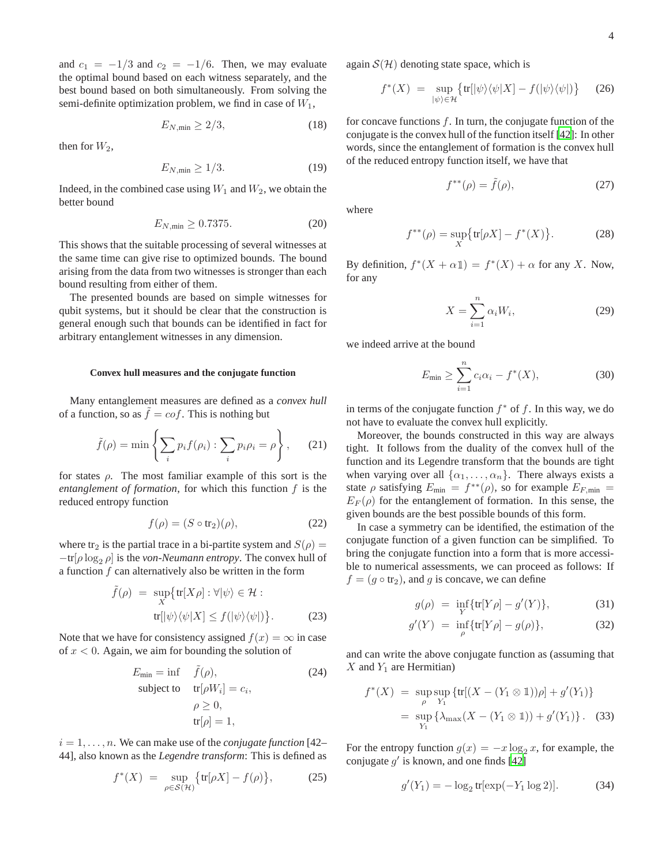and  $c_1 = -1/3$  and  $c_2 = -1/6$ . Then, we may evaluate the optimal bound based on each witness separately, and the best bound based on both simultaneously. From solving the semi-definite optimization problem, we find in case of  $W_1$ ,

$$
E_{N,\min} \ge 2/3,\tag{18}
$$

then for  $W_2$ ,

$$
E_{N,\min} \ge 1/3. \tag{19}
$$

Indeed, in the combined case using  $W_1$  and  $W_2$ , we obtain the better bound

$$
E_{N,\min} \ge 0.7375. \tag{20}
$$

This shows that the suitable processing of several witnesses at the same time can give rise to optimized bounds. The bound arising from the data from two witnesses is stronger than each bound resulting from either of them.

The presented bounds are based on simple witnesses for qubit systems, but it should be clear that the construction is general enough such that bounds can be identified in fact for arbitrary entanglement witnesses in any dimension.

### **Convex hull measures and the conjugate function**

Many entanglement measures are defined as a *convex hull* of a function, so as  $\tilde{f} = cof$ . This is nothing but

$$
\tilde{f}(\rho) = \min \left\{ \sum_{i} p_i f(\rho_i) : \sum_{i} p_i \rho_i = \rho \right\}, \qquad (21)
$$

for states  $\rho$ . The most familiar example of this sort is the *entanglement of formation*, for which this function f is the reduced entropy function

$$
f(\rho) = (S \circ \text{tr}_2)(\rho), \tag{22}
$$

where tr<sub>2</sub> is the partial trace in a bi-partite system and  $S(\rho)$  = −tr[ρ log<sup>2</sup> ρ] is the *von-Neumann entropy*. The convex hull of a function  $f$  can alternatively also be written in the form

$$
\tilde{f}(\rho) = \sup_{X} \{ \text{tr}[X\rho] : \forall |\psi\rangle \in \mathcal{H} : \n \text{tr}[|\psi\rangle\langle\psi|X] \le f(|\psi\rangle\langle\psi|) \}.
$$
\n(23)

Note that we have for consistency assigned  $f(x) = \infty$  in case of  $x < 0$ . Again, we aim for bounding the solution of

$$
E_{\min} = \inf \quad \tilde{f}(\rho),
$$
  
subject to 
$$
\text{tr}[\rho W_i] = c_i,
$$

$$
\rho \ge 0,
$$

$$
\text{tr}[\rho] = 1,
$$
 (24)

 $i = 1, \ldots, n$ . We can make use of the *conjugate function* [42– 44], also known as the *Legendre transform*: This is defined as

$$
f^*(X) = \sup_{\rho \in \mathcal{S}(\mathcal{H})} \{ \text{tr}[\rho X] - f(\rho) \},\tag{25}
$$

again  $S(\mathcal{H})$  denoting state space, which is

<span id="page-3-0"></span>
$$
f^*(X) = \sup_{|\psi\rangle \in \mathcal{H}} \{ \text{tr}[|\psi\rangle\langle\psi|X] - f(|\psi\rangle\langle\psi|) \} \qquad (26)
$$

for concave functions  $f$ . In turn, the conjugate function of the conjugate is the convex hull of the function itself [\[42\]](#page-9-7): In other words, since the entanglement of formation is the convex hull of the reduced entropy function itself, we have that

$$
f^{**}(\rho) = \tilde{f}(\rho),\tag{27}
$$

where

$$
f^{**}(\rho) = \sup_X \{ \text{tr}[\rho X] - f^*(X) \}.
$$
 (28)

By definition,  $f^*(X + \alpha \mathbb{1}) = f^*(X) + \alpha$  for any X. Now, for any

$$
X = \sum_{i=1}^{n} \alpha_i W_i,
$$
 (29)

we indeed arrive at the bound

$$
E_{\min} \ge \sum_{i=1}^{n} c_i \alpha_i - f^*(X), \tag{30}
$$

in terms of the conjugate function  $f^*$  of f. In this way, we do not have to evaluate the convex hull explicitly.

Moreover, the bounds constructed in this way are always tight. It follows from the duality of the convex hull of the function and its Legendre transform that the bounds are tight when varying over all  $\{\alpha_1, \ldots, \alpha_n\}$ . There always exists a state  $\rho$  satisfying  $E_{\text{min}} = f^{**}(\rho)$ , so for example  $E_{F,\text{min}} =$  $E_F(\rho)$  for the entanglement of formation. In this sense, the given bounds are the best possible bounds of this form.

In case a symmetry can be identified, the estimation of the conjugate function of a given function can be simplified. To bring the conjugate function into a form that is more accessible to numerical assessments, we can proceed as follows: If  $f = (q \circ tr_2)$ , and q is concave, we can define

$$
g(\rho) = \inf_{Y} \{ \text{tr}[Y\rho] - g'(Y) \}, \tag{31}
$$

$$
g'(Y) = \inf_{\rho} \{ \text{tr}[Y\rho] - g(\rho) \},
$$
 (32)

and can write the above conjugate function as (assuming that  $X$  and  $Y_1$  are Hermitian)

$$
f^*(X) = \sup_{\rho} \sup_{Y_1} \{ \text{tr}[(X - (Y_1 \otimes 1))\rho] + g'(Y_1) \}
$$
  
= 
$$
\sup_{Y_1} \{ \lambda_{\max}(X - (Y_1 \otimes 1)) + g'(Y_1) \}.
$$
 (33)

For the entropy function  $g(x) = -x \log_2 x$ , for example, the conjugate  $g'$  is known, and one finds [\[42\]](#page-9-7)

$$
g'(Y_1) = -\log_2 \text{tr}[\exp(-Y_1 \log 2)].\tag{34}
$$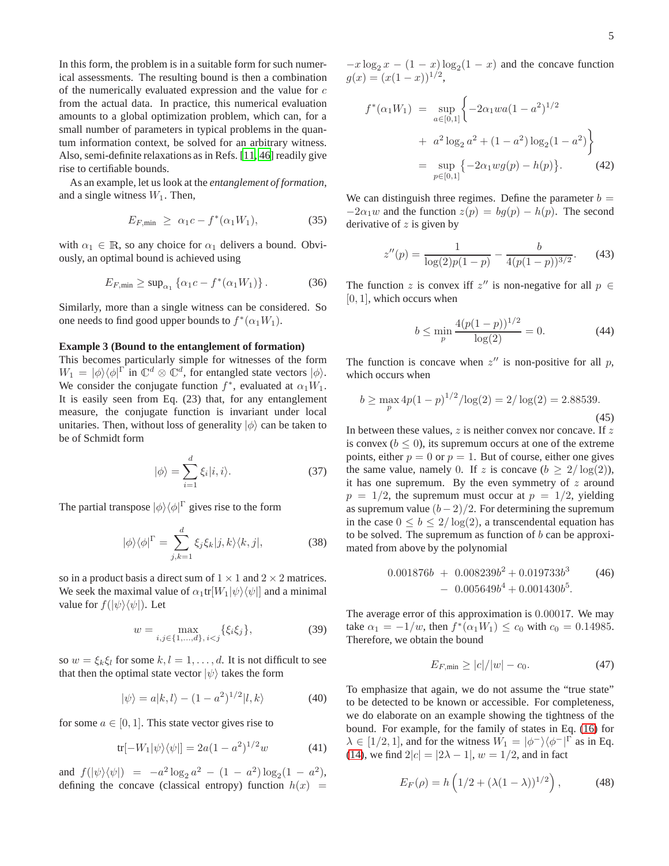In this form, the problem is in a suitable form for such numerical assessments. The resulting bound is then a combination of the numerically evaluated expression and the value for c from the actual data. In practice, this numerical evaluation amounts to a global optimization problem, which can, for a small number of parameters in typical problems in the quantum information context, be solved for an arbitrary witness. Also, semi-definite relaxations as in Refs. [\[11](#page-8-4), [46\]](#page-9-8) readily give rise to certifiable bounds.

As an example, let us look at the *entanglement of formation*, and a single witness  $W_1$ . Then,

$$
E_{F,\min} \geq \alpha_1 c - f^*(\alpha_1 W_1), \tag{35}
$$

with  $\alpha_1 \in \mathbb{R}$ , so any choice for  $\alpha_1$  delivers a bound. Obviously, an optimal bound is achieved using

$$
E_{F,\min} \ge \sup_{\alpha_1} \left\{ \alpha_1 c - f^*(\alpha_1 W_1) \right\}.
$$
 (36)

Similarly, more than a single witness can be considered. So one needs to find good upper bounds to  $f^*(\alpha_1 W_1)$ .

# **Example 3 (Bound to the entanglement of formation)**

This becomes particularly simple for witnesses of the form  $W_1 = |\phi\rangle\langle\phi| \Gamma$  in  $\mathbb{C}^d \otimes \mathbb{C}^d$ , for entangled state vectors  $|\phi\rangle$ . We consider the conjugate function  $f^*$ , evaluated at  $\alpha_1 W_1$ . It is easily seen from Eq. (23) that, for any entanglement measure, the conjugate function is invariant under local unitaries. Then, without loss of generality  $|\phi\rangle$  can be taken to be of Schmidt form

<span id="page-4-0"></span>
$$
|\phi\rangle = \sum_{i=1}^{d} \xi_i |i, i\rangle. \tag{37}
$$

The partial transpose  $|\phi\rangle\langle\phi|^{\Gamma}$  gives rise to the form

$$
|\phi\rangle\langle\phi|^{\Gamma} = \sum_{j,k=1}^{d} \xi_j \xi_k |j,k\rangle\langle k,j|,
$$
 (38)

so in a product basis a direct sum of  $1 \times 1$  and  $2 \times 2$  matrices. We seek the maximal value of  $\alpha_1 \text{tr}[W_1|\psi\rangle \langle \psi|]$  and a minimal value for  $f(|\psi\rangle\langle\psi|)$ . Let

$$
w = \max_{i,j \in \{1,\dots,d\}, i < j} \{\xi_i \xi_j\},\tag{39}
$$

so  $w = \xi_k \xi_l$  for some  $k, l = 1, \dots, d$ . It is not difficult to see that then the optimal state vector  $|\psi\rangle$  takes the form

$$
|\psi\rangle = a|k,l\rangle - (1 - a^2)^{1/2}|l,k\rangle \tag{40}
$$

for some  $a \in [0, 1]$ . This state vector gives rise to

$$
\text{tr}[-W_1|\psi\rangle\langle\psi|] = 2a(1 - a^2)^{1/2}w \tag{41}
$$

and  $f(|\psi\rangle\langle\psi|) = -a^2 \log_2 a^2 - (1 - a^2) \log_2 (1 - a^2)$ , defining the concave (classical entropy) function  $h(x)$  =

 $-x \log_2 x - (1-x) \log_2(1-x)$  and the concave function  $g(x) = (x(1-x))^{1/2},$ 

$$
f^*(\alpha_1 W_1) = \sup_{a \in [0,1]} \left\{-2\alpha_1 wa(1-a^2)^{1/2} + a^2 \log_2 a^2 + (1-a^2) \log_2 (1-a^2) \right\}
$$
  
= 
$$
\sup_{p \in [0,1]} \left\{-2\alpha_1 wg(p) - h(p)\right\}. \tag{42}
$$

We can distinguish three regimes. Define the parameter  $b =$  $-2\alpha_1w$  and the function  $z(p) = bg(p) - h(p)$ . The second derivative of  $z$  is given by

$$
z''(p) = \frac{1}{\log(2)p(1-p)} - \frac{b}{4(p(1-p))^{3/2}}.\tag{43}
$$

The function z is convex iff  $z''$  is non-negative for all  $p \in$  $[0, 1]$ , which occurs when

$$
b \le \min_{p} \frac{4(p(1-p))^{1/2}}{\log(2)} = 0.
$$
 (44)

The function is concave when  $z''$  is non-positive for all p, which occurs when

$$
b \ge \max_{p} 4p(1-p)^{1/2}/\log(2) = 2/\log(2) = 2.88539.
$$
\n(45)

In between these values,  $z$  is neither convex nor concave. If  $z$ is convex ( $b \leq 0$ ), its supremum occurs at one of the extreme points, either  $p = 0$  or  $p = 1$ . But of course, either one gives the same value, namely 0. If z is concave  $(b \geq 2/\log(2))$ , it has one supremum. By the even symmetry of  $z$  around  $p = 1/2$ , the supremum must occur at  $p = 1/2$ , yielding as supremum value  $(b-2)/2$ . For determining the supremum in the case  $0 \le b \le 2/\log(2)$ , a transcendental equation has to be solved. The supremum as function of  $b$  can be approximated from above by the polynomial

$$
0.001876b + 0.008239b2 + 0.019733b3
$$
 (46)  
- 0.005649b<sup>4</sup> + 0.001430b<sup>5</sup>.

The average error of this approximation is 0.00017. We may take  $\alpha_1 = -1/w$ , then  $f^*(\alpha_1 W_1) \leq c_0$  with  $c_0 = 0.14985$ . Therefore, we obtain the bound

$$
E_{F,\min} \ge |c|/|w| - c_0. \tag{47}
$$

To emphasize that again, we do not assume the "true state" to be detected to be known or accessible. For completeness, we do elaborate on an example showing the tightness of the bound. For example, for the family of states in Eq. [\(16\)](#page-2-2) for  $\lambda \in [1/2, 1]$ , and for the witness  $W_1 = |\phi^{-}\rangle \langle \phi^{-}|^{\Gamma}$  as in Eq. [\(14\)](#page-2-3), we find  $2|c| = |2\lambda - 1|$ ,  $w = 1/2$ , and in fact

$$
E_F(\rho) = h\left(1/2 + (\lambda(1-\lambda))^{1/2}\right),
$$
 (48)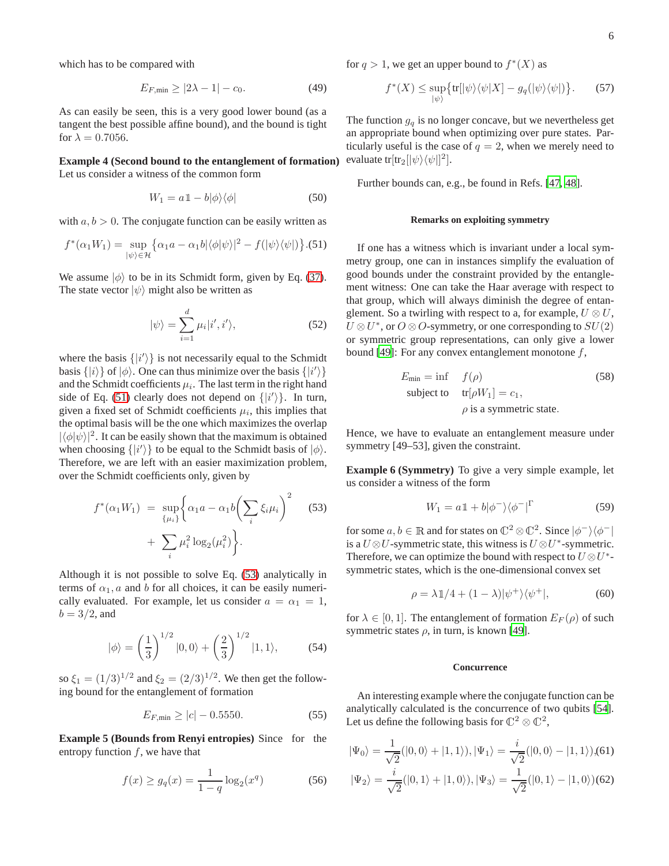which has to be compared with

$$
E_{F,\min} \ge |2\lambda - 1| - c_0. \tag{49}
$$

As can easily be seen, this is a very good lower bound (as a tangent the best possible affine bound), and the bound is tight for  $\lambda = 0.7056$ .

# **Example 4 (Second bound to the entanglement of formation)** Let us consider a witness of the common form

$$
W_1 = a1 - b|\phi\rangle\langle\phi|
$$
 (50)

with  $a, b > 0$ . The conjugate function can be easily written as

<span id="page-5-0"></span>
$$
f^*(\alpha_1 W_1) = \sup_{|\psi\rangle \in \mathcal{H}} \{ \alpha_1 a - \alpha_1 b |\langle \phi | \psi \rangle|^2 - f(|\psi\rangle \langle \psi|) \} . \text{(51)}
$$

We assume  $|\phi\rangle$  to be in its Schmidt form, given by Eq. [\(37\)](#page-4-0). The state vector  $|\psi\rangle$  might also be written as

$$
|\psi\rangle = \sum_{i=1}^{d} \mu_i |i', i'\rangle, \qquad (52)
$$

where the basis  $\{|i'\rangle\}$  is not necessarily equal to the Schmidt basis  $\{|i\rangle\}$  of  $|\phi\rangle$ . One can thus minimize over the basis  $\{|i'\rangle\}$ and the Schmidt coefficients  $\mu_i$ . The last term in the right hand side of Eq. [\(51\)](#page-5-0) clearly does not depend on  $\{|i'\rangle\}$ . In turn, given a fixed set of Schmidt coefficients  $\mu_i$ , this implies that the optimal basis will be the one which maximizes the overlap  $|\langle \phi | \psi \rangle|^2$ . It can be easily shown that the maximum is obtained when choosing  $\{|i'\rangle\}$  to be equal to the Schmidt basis of  $|\phi\rangle$ . Therefore, we are left with an easier maximization problem, over the Schmidt coefficients only, given by

<span id="page-5-1"></span>
$$
f^*(\alpha_1 W_1) = \sup_{\{\mu_i\}} \left\{ \alpha_1 a - \alpha_1 b \left( \sum_i \xi_i \mu_i \right)^2 + \sum_i \mu_i^2 \log_2(\mu_i^2) \right\}.
$$
 (53)

Although it is not possible to solve Eq. [\(53\)](#page-5-1) analytically in terms of  $\alpha_1$ , a and b for all choices, it can be easily numerically evaluated. For example, let us consider  $a = \alpha_1 = 1$ ,  $b = 3/2$ , and

$$
|\phi\rangle = \left(\frac{1}{3}\right)^{1/2} |0,0\rangle + \left(\frac{2}{3}\right)^{1/2} |1,1\rangle, \tag{54}
$$

so  $\xi_1 = (1/3)^{1/2}$  and  $\xi_2 = (2/3)^{1/2}$ . We then get the following bound for the entanglement of formation

$$
E_{F,\min} \ge |c| - 0.5550. \tag{55}
$$

**Example 5 (Bounds from Renyi entropies)** Since for the entropy function  $f$ , we have that

$$
f(x) \ge g_q(x) = \frac{1}{1-q} \log_2(x^q)
$$
 (56)

for  $q > 1$ , we get an upper bound to  $f^*(X)$  as

$$
f^*(X) \le \sup_{|\psi\rangle} \{ \text{tr}[|\psi\rangle\langle\psi|X] - g_q(|\psi\rangle\langle\psi|) \}.
$$
 (57)

The function  $g_q$  is no longer concave, but we nevertheless get an appropriate bound when optimizing over pure states. Particularly useful is the case of  $q = 2$ , when we merely need to evaluate tr[tr<sub>2</sub>[ $|\psi\rangle\langle\psi|$ ]<sup>2</sup>].

Further bounds can, e.g., be found in Refs. [\[47,](#page-9-9) [48\]](#page-9-10).

## **Remarks on exploiting symmetry**

If one has a witness which is invariant under a local symmetry group, one can in instances simplify the evaluation of good bounds under the constraint provided by the entanglement witness: One can take the Haar average with respect to that group, which will always diminish the degree of entanglement. So a twirling with respect to a, for example,  $U \otimes U$ ,  $U\otimes U^*$ , or  $O\otimes O$ -symmetry, or one corresponding to  $SU(2)$ or symmetric group representations, can only give a lower bound [\[49\]](#page-9-11): For any convex entanglement monotone  $f$ ,

$$
E_{\min} = \inf \nf(\rho) \tag{58}
$$
\n
$$
\text{subject to} \quad \text{tr}[\rho W_1] = c_1,
$$
\n
$$
\rho \text{ is a symmetric state.}
$$

Hence, we have to evaluate an entanglement measure under symmetry [49–53], given the constraint.

**Example 6 (Symmetry)** To give a very simple example, let us consider a witness of the form

$$
W_1 = a \mathbb{1} + b|\phi^{-}\rangle\langle\phi^{-}|\Gamma \tag{59}
$$

for some  $a, b \in \mathbb{R}$  and for states on  $\mathbb{C}^2 \otimes \mathbb{C}^2$ . Since  $|\phi^{-}\rangle \langle \phi^{-}|$ is a  $U \otimes U$ -symmetric state, this witness is  $U \otimes U^*$ -symmetric. Therefore, we can optimize the bound with respect to  $U \otimes U^*$ symmetric states, which is the one-dimensional convex set

$$
\rho = \lambda \mathbb{1}/4 + (1 - \lambda)|\psi^{+}\rangle\langle\psi^{+}|,
$$
 (60)

for  $\lambda \in [0, 1]$ . The entanglement of formation  $E_F(\rho)$  of such symmetric states  $\rho$ , in turn, is known [\[49\]](#page-9-11).

# **Concurrence**

An interesting example where the conjugate function can be analytically calculated is the concurrence of two qubits [\[54](#page-9-12)]. Let us define the following basis for  $\mathbb{C}^2 \otimes \mathbb{C}^2$ ,

$$
|\Psi_0\rangle = \frac{1}{\sqrt{2}}(|0,0\rangle + |1,1\rangle), |\Psi_1\rangle = \frac{i}{\sqrt{2}}(|0,0\rangle - |1,1\rangle),
$$
(61)  

$$
|\Psi_2\rangle = \frac{i}{\sqrt{2}}(|0,1\rangle + |1,0\rangle), |\Psi_3\rangle = \frac{1}{\sqrt{2}}(|0,1\rangle - |1,0\rangle)
$$
(62)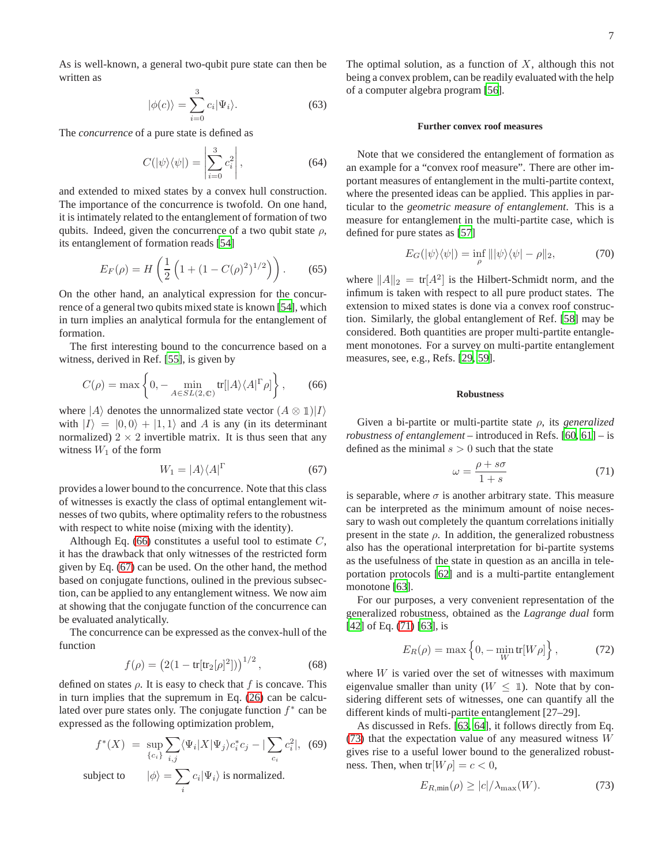As is well-known, a general two-qubit pure state can then be written as

$$
|\phi(c)\rangle = \sum_{i=0}^{3} c_i |\Psi_i\rangle.
$$
 (63)

The *concurrence* of a pure state is defined as

<span id="page-6-4"></span>
$$
C(|\psi\rangle\langle\psi|) = \left|\sum_{i=0}^{3} c_i^2\right|,\tag{64}
$$

and extended to mixed states by a convex hull construction. The importance of the concurrence is twofold. On one hand, it is intimately related to the entanglement of formation of two qubits. Indeed, given the concurrence of a two qubit state  $\rho$ , its entanglement of formation reads [\[54\]](#page-9-12)

$$
E_F(\rho) = H\left(\frac{1}{2}\left(1 + (1 - C(\rho)^2)^{1/2}\right)\right). \tag{65}
$$

On the other hand, an analytical expression for the concurrence of a general two qubits mixed state is known [\[54\]](#page-9-12), which in turn implies an analytical formula for the entanglement of formation.

The first interesting bound to the concurrence based on a witness, derived in Ref. [\[55\]](#page-9-13), is given by

<span id="page-6-0"></span>
$$
C(\rho) = \max\left\{0, -\min_{A \in SL(2,\mathbb{C})} tr[|A\rangle\langle A|^{\Gamma} \rho]\right\},\qquad(66)
$$

where  $|A\rangle$  denotes the unnormalized state vector  $(A \otimes 1)|I\rangle$ with  $|I\rangle = |0, 0\rangle + |1, 1\rangle$  and A is any (in its determinant normalized)  $2 \times 2$  invertible matrix. It is thus seen that any witness  $W_1$  of the form

<span id="page-6-1"></span>
$$
W_1 = |A\rangle\langle A|^{\Gamma} \tag{67}
$$

provides a lower bound to the concurrence. Note that this class of witnesses is exactly the class of optimal entanglement witnesses of two qubits, where optimality refers to the robustness with respect to white noise (mixing with the identity).

Although Eq. [\(66\)](#page-6-0) constitutes a useful tool to estimate  $C$ , it has the drawback that only witnesses of the restricted form given by Eq. [\(67\)](#page-6-1) can be used. On the other hand, the method based on conjugate functions, oulined in the previous subsection, can be applied to any entanglement witness. We now aim at showing that the conjugate function of the concurrence can be evaluated analytically.

The concurrence can be expressed as the convex-hull of the function

$$
f(\rho) = (2(1 - \text{tr}[\text{tr}_2[\rho]^2]))^{1/2}, \tag{68}
$$

defined on states  $\rho$ . It is easy to check that f is concave. This in turn implies that the supremum in Eq. [\(26\)](#page-3-0) can be calculated over pure states only. The conjugate function  $f^*$  can be expressed as the following optimization problem,

$$
f^*(X) = \sup_{\{c_i\}} \sum_{i,j} \langle \Psi_i | X | \Psi_j \rangle c_i^* c_j - |\sum_{c_i} c_i^2|, \tag{69}
$$
  
subject to 
$$
|\phi\rangle = \sum_i c_i |\Psi_i\rangle \text{ is normalized.}
$$

The optimal solution, as a function of  $X$ , although this not being a convex problem, can be readily evaluated with the help of a computer algebra program [\[56](#page-9-14)].

## **Further convex roof measures**

Note that we considered the entanglement of formation as an example for a "convex roof measure". There are other important measures of entanglement in the multi-partite context, where the presented ideas can be applied. This applies in particular to the *geometric measure of entanglement*. This is a measure for entanglement in the multi-partite case, which is defined for pure states as [\[57\]](#page-9-15)

$$
E_G(|\psi\rangle\langle\psi|) = \inf_{\rho} \|\psi\rangle\langle\psi| - \rho\|_2,\tag{70}
$$

where  $||A||_2 = \text{tr}[A^2]$  is the Hilbert-Schmidt norm, and the infimum is taken with respect to all pure product states. The extension to mixed states is done via a convex roof construction. Similarly, the global entanglement of Ref. [\[58](#page-9-16)] may be considered. Both quantities are proper multi-partite entanglement monotones. For a survey on multi-partite entanglement measures, see, e.g., Refs. [\[29,](#page-9-17) [59\]](#page-9-18).

### **Robustness**

Given a bi-partite or multi-partite state ρ, its *generalized robustness of entanglement* – introduced in Refs. [\[60](#page-9-19), [61](#page-9-20)] – is defined as the minimal  $s > 0$  such that the state

<span id="page-6-2"></span>
$$
\omega = \frac{\rho + s\sigma}{1 + s} \tag{71}
$$

is separable, where  $\sigma$  is another arbitrary state. This measure can be interpreted as the minimum amount of noise necessary to wash out completely the quantum correlations initially present in the state  $\rho$ . In addition, the generalized robustness also has the operational interpretation for bi-partite systems as the usefulness of the state in question as an ancilla in teleportation protocols [\[62\]](#page-9-21) and is a multi-partite entanglement monotone [\[63\]](#page-9-22).

For our purposes, a very convenient representation of the generalized robustness, obtained as the *Lagrange dual* form [\[42](#page-9-7)] of Eq. [\(71\)](#page-6-2) [\[63\]](#page-9-22), is

$$
E_R(\rho) = \max\left\{0, -\min_W \text{tr}[W\rho]\right\},\tag{72}
$$

where  $W$  is varied over the set of witnesses with maximum eigenvalue smaller than unity ( $W \leq 1$ ). Note that by considering different sets of witnesses, one can quantify all the different kinds of multi-partite entanglement [27–29].

As discussed in Refs. [\[63,](#page-9-22) [64](#page-9-23)], it follows directly from Eq. [\(73\)](#page-6-3) that the expectation value of any measured witness  $W$ gives rise to a useful lower bound to the generalized robustness. Then, when  $tr[W \rho] = c < 0$ ,

<span id="page-6-3"></span>
$$
E_{R,\min}(\rho) \ge |c|/\lambda_{\max}(W). \tag{73}
$$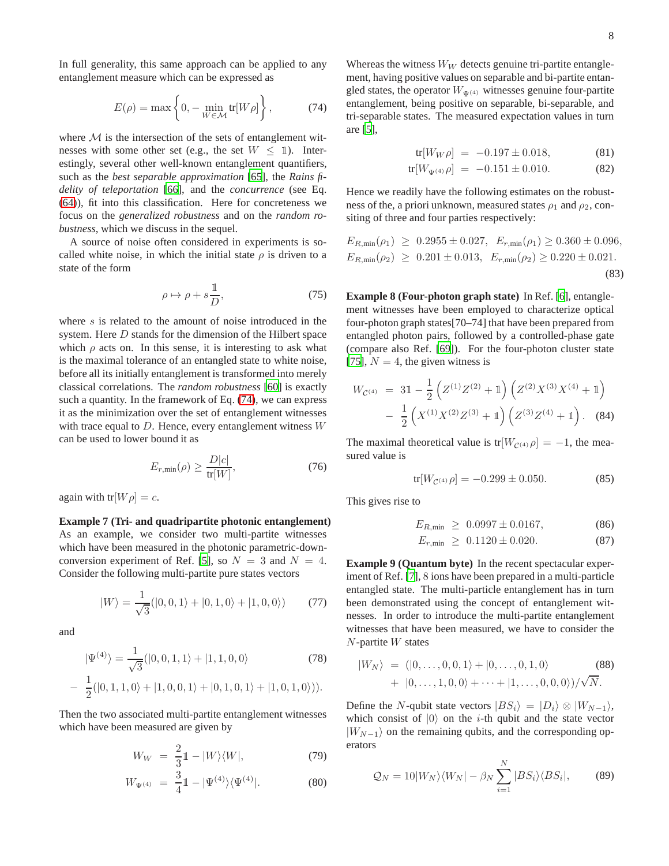In full generality, this same approach can be applied to any entanglement measure which can be expressed as

<span id="page-7-0"></span>
$$
E(\rho) = \max\left\{0, -\min_{W \in \mathcal{M}} \text{tr}[W\rho]\right\},\qquad(74)
$$

where  $M$  is the intersection of the sets of entanglement witnesses with some other set (e.g., the set  $W \leq 1$ ). Interestingly, several other well-known entanglement quantifiers, such as the *best separable approximation* [\[65\]](#page-9-24), the *Rains fidelity of teleportation* [\[66](#page-9-25)], and the *concurrence* (see Eq. [\(64\)](#page-6-4)), fit into this classification. Here for concreteness we focus on the *generalized robustness* and on the *random robustness*, which we discuss in the sequel.

A source of noise often considered in experiments is socalled white noise, in which the initial state  $\rho$  is driven to a state of the form

$$
\rho \mapsto \rho + s \frac{1}{D},\tag{75}
$$

where s is related to the amount of noise introduced in the system. Here D stands for the dimension of the Hilbert space which  $\rho$  acts on. In this sense, it is interesting to ask what is the maximal tolerance of an entangled state to white noise, before all its initially entanglement is transformed into merely classical correlations. The *random robustness* [\[60\]](#page-9-19) is exactly such a quantity. In the framework of Eq. [\(74\)](#page-7-0), we can express it as the minimization over the set of entanglement witnesses with trace equal to  $D$ . Hence, every entanglement witness  $W$ can be used to lower bound it as

$$
E_{r,\min}(\rho) \ge \frac{D|c|}{\text{tr}[W]},\tag{76}
$$

again with tr[ $W \rho$ ] = c.

**Example 7 (Tri- and quadripartite photonic entanglement)** As an example, we consider two multi-partite witnesses which have been measured in the photonic parametric-down-conversion experiment of Ref. [\[5\]](#page-8-5), so  $N = 3$  and  $N = 4$ . Consider the following multi-partite pure states vectors

$$
|W\rangle = \frac{1}{\sqrt{3}}(|0,0,1\rangle + |0,1,0\rangle + |1,0,0\rangle)
$$
 (77)

and

$$
|\Psi^{(4)}\rangle = \frac{1}{\sqrt{3}}(|0,0,1,1\rangle + |1,1,0,0\rangle \tag{78}
$$

$$
- \frac{1}{2} (|0,1,1,0\rangle + |1,0,0,1\rangle + |0,1,0,1\rangle + |1,0,1,0\rangle)).
$$

Then the two associated multi-partite entanglement witnesses which have been measured are given by

$$
W_W = \frac{2}{3}\mathbb{1} - |W\rangle\langle W|,\tag{79}
$$

$$
W_{\Psi^{(4)}} = \frac{3}{4}1 - |\Psi^{(4)}\rangle\langle\Psi^{(4)}|.
$$
 (80)

Whereas the witness  $W_W$  detects genuine tri-partite entanglement, having positive values on separable and bi-partite entangled states, the operator  $W_{\Psi^{(4)}}$  witnesses genuine four-partite entanglement, being positive on separable, bi-separable, and tri-separable states. The measured expectation values in turn are [\[5\]](#page-8-5),

$$
\text{tr}[W_W \rho] = -0.197 \pm 0.018, \tag{81}
$$

$$
\text{tr}[W_{\Psi^{(4)}}\rho] = -0.151 \pm 0.010. \tag{82}
$$

Hence we readily have the following estimates on the robustness of the, a priori unknown, measured states  $\rho_1$  and  $\rho_2$ , consiting of three and four parties respectively:

$$
E_{R,\min}(\rho_1) \ge 0.2955 \pm 0.027, \quad E_{r,\min}(\rho_1) \ge 0.360 \pm 0.096,
$$
  
\n
$$
E_{R,\min}(\rho_2) \ge 0.201 \pm 0.013, \quad E_{r,\min}(\rho_2) \ge 0.220 \pm 0.021.
$$
\n(83)

**Example 8 (Four-photon graph state)** In Ref. [\[6\]](#page-8-6), entanglement witnesses have been employed to characterize optical four-photon graph states[70–74] that have been prepared from entangled photon pairs, followed by a controlled-phase gate (compare also Ref. [\[69\]](#page-9-26)). For the four-photon cluster state [\[75](#page-9-27)],  $N = 4$ , the given witness is

$$
W_{\mathcal{C}^{(4)}} = 31 - \frac{1}{2} \left( Z^{(1)} Z^{(2)} + 1 \right) \left( Z^{(2)} X^{(3)} X^{(4)} + 1 \right)
$$

$$
- \frac{1}{2} \left( X^{(1)} X^{(2)} Z^{(3)} + 1 \right) \left( Z^{(3)} Z^{(4)} + 1 \right). \quad (84)
$$

The maximal theoretical value is tr[ $W_{\mathcal{C}^{(4)}} \rho$ ] = -1, the measured value is

$$
\text{tr}[W_{\mathcal{C}^{(4)}}\rho] = -0.299 \pm 0.050. \tag{85}
$$

This gives rise to

$$
E_{R,\min} \ge 0.0997 \pm 0.0167, \tag{86}
$$

$$
E_{r,\min} \ge 0.1120 \pm 0.020. \tag{87}
$$

**Example 9 (Quantum byte)** In the recent spectacular experiment of Ref. [\[7\]](#page-8-7), 8 ions have been prepared in a multi-particle entangled state. The multi-particle entanglement has in turn been demonstrated using the concept of entanglement witnesses. In order to introduce the multi-partite entanglement witnesses that have been measured, we have to consider the  $N$ -partite  $W$  states

$$
|W_N\rangle = (|0, \dots, 0, 0, 1\rangle + |0, \dots, 0, 1, 0\rangle
$$
 (88)  
+ |0, \dots, 1, 0, 0\rangle + \dots + |1, \dots, 0, 0, 0\rangle)/\sqrt{N}.

Define the N-qubit state vectors  $|BS_i\rangle = |D_i\rangle \otimes |W_{N-1}\rangle$ , which consist of  $|0\rangle$  on the *i*-th qubit and the state vector  $|W_{N-1}\rangle$  on the remaining qubits, and the corresponding operators

$$
\mathcal{Q}_N = 10|W_N\rangle\langle W_N| - \beta_N \sum_{i=1}^N |BS_i\rangle\langle BS_i|,\tag{89}
$$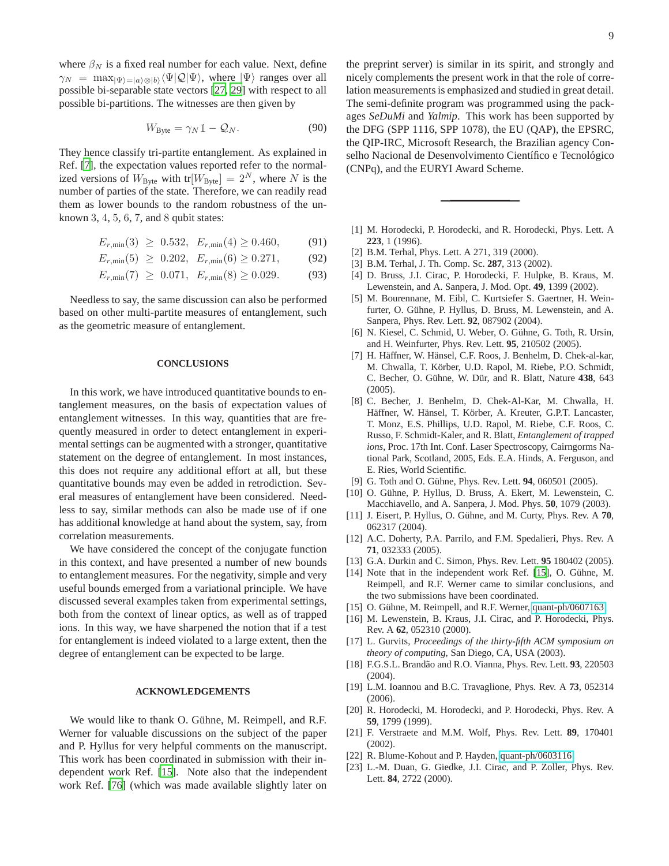where  $\beta_N$  is a fixed real number for each value. Next, define  $\gamma_N = \max_{|\Psi\rangle = |a\rangle \otimes |b\rangle} \langle \Psi | \mathcal{Q} | \Psi \rangle$ , where  $|\Psi\rangle$  ranges over all possible bi-separable state vectors [\[27](#page-9-28), [29\]](#page-9-17) with respect to all possible bi-partitions. The witnesses are then given by

$$
W_{\text{Byte}} = \gamma_N \mathbb{1} - \mathcal{Q}_N. \tag{90}
$$

They hence classify tri-partite entanglement. As explained in Ref. [\[7](#page-8-7)], the expectation values reported refer to the normalized versions of  $W_{\text{Byte}}$  with tr $[W_{\text{Byte}}] = 2^N$ , where N is the number of parties of the state. Therefore, we can readily read them as lower bounds to the random robustness of the unknown 3, 4, 5, 6, 7, and 8 qubit states:

$$
E_{r,\min}(3) \ge 0.532, \ E_{r,\min}(4) \ge 0.460, \tag{91}
$$

$$
E_{r,\min}(5) \ge 0.202, \ E_{r,\min}(6) \ge 0.271,\tag{92}
$$

$$
E_{r,\min}(7) \ge 0.071, \ E_{r,\min}(8) \ge 0.029. \tag{93}
$$

Needless to say, the same discussion can also be performed based on other multi-partite measures of entanglement, such as the geometric measure of entanglement.

### **CONCLUSIONS**

In this work, we have introduced quantitative bounds to entanglement measures, on the basis of expectation values of entanglement witnesses. In this way, quantities that are frequently measured in order to detect entanglement in experimental settings can be augmented with a stronger, quantitative statement on the degree of entanglement. In most instances, this does not require any additional effort at all, but these quantitative bounds may even be added in retrodiction. Several measures of entanglement have been considered. Needless to say, similar methods can also be made use of if one has additional knowledge at hand about the system, say, from correlation measurements.

We have considered the concept of the conjugate function in this context, and have presented a number of new bounds to entanglement measures. For the negativity, simple and very useful bounds emerged from a variational principle. We have discussed several examples taken from experimental settings, both from the context of linear optics, as well as of trapped ions. In this way, we have sharpened the notion that if a test for entanglement is indeed violated to a large extent, then the degree of entanglement can be expected to be large.

# **ACKNOWLEDGEMENTS**

We would like to thank O. Gühne, M. Reimpell, and R.F. Werner for valuable discussions on the subject of the paper and P. Hyllus for very helpful comments on the manuscript. This work has been coordinated in submission with their independent work Ref. [\[15\]](#page-8-8). Note also that the independent work Ref. [\[76\]](#page-9-29) (which was made available slightly later on

The semi-definite program was programmed using the packages *SeDuMi* and *Yalmip*. This work has been supported by the DFG (SPP 1116, SPP 1078), the EU (QAP), the EPSRC, the QIP-IRC, Microsoft Research, the Brazilian agency Conselho Nacional de Desenvolvimento Científico e Tecnológico (CNPq), and the EURYI Award Scheme.

- [1] M. Horodecki, P. Horodecki, and R. Horodecki, Phys. Lett. A **223**, 1 (1996).
- [2] B.M. Terhal, Phys. Lett. A 271, 319 (2000).
- [3] B.M. Terhal, J. Th. Comp. Sc. **287**, 313 (2002).
- [4] D. Bruss, J.I. Cirac, P. Horodecki, F. Hulpke, B. Kraus, M. Lewenstein, and A. Sanpera, J. Mod. Opt. **49**, 1399 (2002).
- <span id="page-8-5"></span>[5] M. Bourennane, M. Eibl, C. Kurtsiefer S. Gaertner, H. Weinfurter, O. Gühne, P. Hyllus, D. Bruss, M. Lewenstein, and A. Sanpera, Phys. Rev. Lett. **92**, 087902 (2004).
- <span id="page-8-6"></span>[6] N. Kiesel, C. Schmid, U. Weber, O. Gühne, G. Toth, R. Ursin, and H. Weinfurter, Phys. Rev. Lett. **95**, 210502 (2005).
- <span id="page-8-7"></span>[7] H. Häffner, W. Hänsel, C.F. Roos, J. Benhelm, D. Chek-al-kar, M. Chwalla, T. Körber, U.D. Rapol, M. Riebe, P.O. Schmidt, C. Becher, O. G¨uhne, W. D¨ur, and R. Blatt, Nature **438**, 643 (2005).
- [8] C. Becher, J. Benhelm, D. Chek-Al-Kar, M. Chwalla, H. Häffner, W. Hänsel, T. Körber, A. Kreuter, G.P.T. Lancaster, T. Monz, E.S. Phillips, U.D. Rapol, M. Riebe, C.F. Roos, C. Russo, F. Schmidt-Kaler, and R. Blatt, *Entanglement of trapped ions*, Proc. 17th Int. Conf. Laser Spectroscopy, Cairngorms National Park, Scotland, 2005, Eds. E.A. Hinds, A. Ferguson, and E. Ries, World Scientific.
- [9] G. Toth and O. Gühne, Phys. Rev. Lett. **94**, 060501 (2005).
- [10] O. Gühne, P. Hyllus, D. Bruss, A. Ekert, M. Lewenstein, C. Macchiavello, and A. Sanpera, J. Mod. Phys. **50**, 1079 (2003).
- <span id="page-8-4"></span>[11] J. Eisert, P. Hyllus, O. Gühne, and M. Curty, Phys. Rev. A 70, 062317 (2004).
- [12] A.C. Doherty, P.A. Parrilo, and F.M. Spedalieri, Phys. Rev. A **71**, 032333 (2005).
- [13] G.A. Durkin and C. Simon, Phys. Rev. Lett. **95** 180402 (2005).
- <span id="page-8-0"></span>[14] Note that in the independent work Ref. [\[15\]](#page-8-8), O. Gühne, M. Reimpell, and R.F. Werner came to similar conclusions, and the two submissions have been coordinated.
- <span id="page-8-8"></span>[15] O. Gühne, M. Reimpell, and R.F. Werner, [quant-ph/0607163.](http://arxiv.org/abs/quant-ph/0607163)
- [16] M. Lewenstein, B. Kraus, J.I. Cirac, and P. Horodecki, Phys. Rev. A **62**, 052310 (2000).
- [17] L. Gurvits, *Proceedings of the thirty-fifth ACM symposium on theory of computing*, San Diego, CA, USA (2003).
- [18] F.G.S.L. Brand˜ao and R.O. Vianna, Phys. Rev. Lett. **93**, 220503 (2004).
- [19] L.M. Ioannou and B.C. Travaglione, Phys. Rev. A **73**, 052314 (2006).
- <span id="page-8-1"></span>[20] R. Horodecki, M. Horodecki, and P. Horodecki, Phys. Rev. A **59**, 1799 (1999).
- <span id="page-8-2"></span>[21] F. Verstraete and M.M. Wolf, Phys. Rev. Lett. **89**, 170401 (2002).
- <span id="page-8-3"></span>[22] R. Blume-Kohout and P. Hayden, [quant-ph/0603116.](http://arxiv.org/abs/quant-ph/0603116)
- [23] L.-M. Duan, G. Giedke, J.I. Cirac, and P. Zoller, Phys. Rev. Lett. **84**, 2722 (2000).